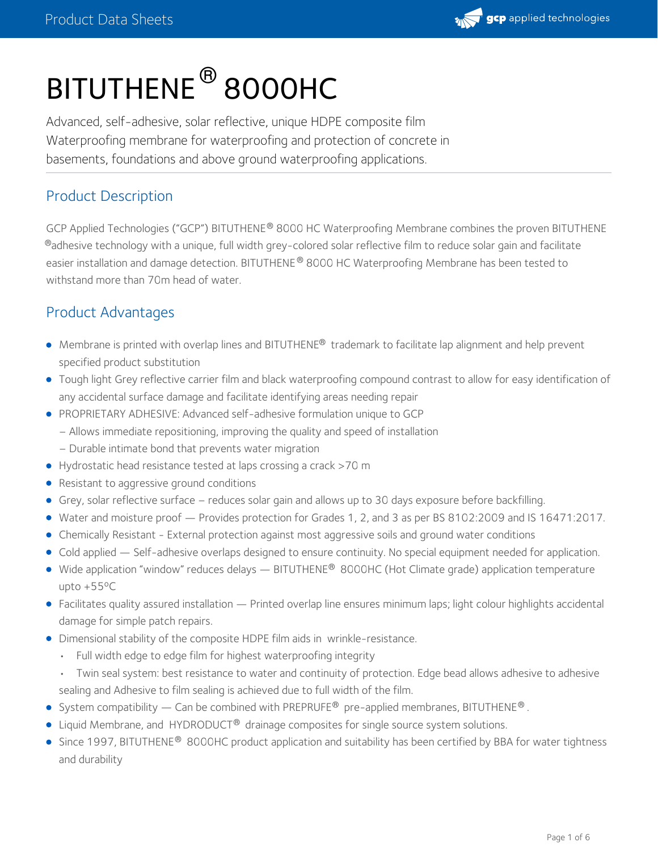# BITUTHENE ® 8000HC

Advanced, self-adhesive, solar reflective, unique HDPE composite film Waterproofing membrane for waterproofing and protection of concrete in basements, foundations and above ground waterproofing applications.

### Product Description

GCP Applied Technologies ("GCP") BITUTHENE® 8000 HC Waterproofing Membrane combines the proven BITUTHENE  $^\circledast$ adhesive technology with a unique, full width grey-colored solar reflective film to reduce solar gain and facilitate easier installation and damage detection. BITUTHENE® 8000 HC Waterproofing Membrane has been tested to withstand more than 70m head of water.

## Product Advantages

- Membrane is printed with overlap lines and BITUTHENE® trademark to facilitate lap alignment and help prevent specified product substitution
- Tough light Grey reflective carrier film and black waterproofing compound contrast to allow for easy identification of any accidental surface damage and facilitate identifying areas needing repair
- PROPRIETARY ADHESIVE: Advanced self-adhesive formulation unique to GCP
	- Allows immediate repositioning, improving the quality and speed of installation
	- Durable intimate bond that prevents water migration
- Hydrostatic head resistance tested at laps crossing a crack >70 m
- Resistant to aggressive ground conditions
- Grey, solar reflective surface reduces solar gain and allows up to 30 days exposure before backfilling.
- Water and moisture proof Provides protection for Grades 1, 2, and 3 as per BS 8102:2009 and IS 16471:2017.
- Chemically Resistant External protection against most aggressive soils and ground water conditions
- Cold applied Self-adhesive overlaps designed to ensure continuity. No special equipment needed for application.
- Wide application "window" reduces delays BITUTHENE® 8000HC (Hot Climate grade) application temperature upto +55ºC
- Facilitates quality assured installation Printed overlap line ensures minimum laps; light colour highlights accidental damage for simple patch repairs.
- Dimensional stability of the composite HDPE film aids in wrinkle-resistance.
	- Full width edge to edge film for highest waterproofing integrity
	- Twin seal system: best resistance to water and continuity of protection. Edge bead allows adhesive to adhesive sealing and Adhesive to film sealing is achieved due to full width of the film.
- System compatibility Can be combined with PREPRUFE<sup>®</sup> pre-applied membranes, BITUTHENE<sup>®</sup>.
- Liquid Membrane, and HYDRODUCT<sup>®</sup> drainage composites for single source system solutions.
- Since 1997, BITUTHENE® 8000HC product application and suitability has been certified by BBA for water tightness and durability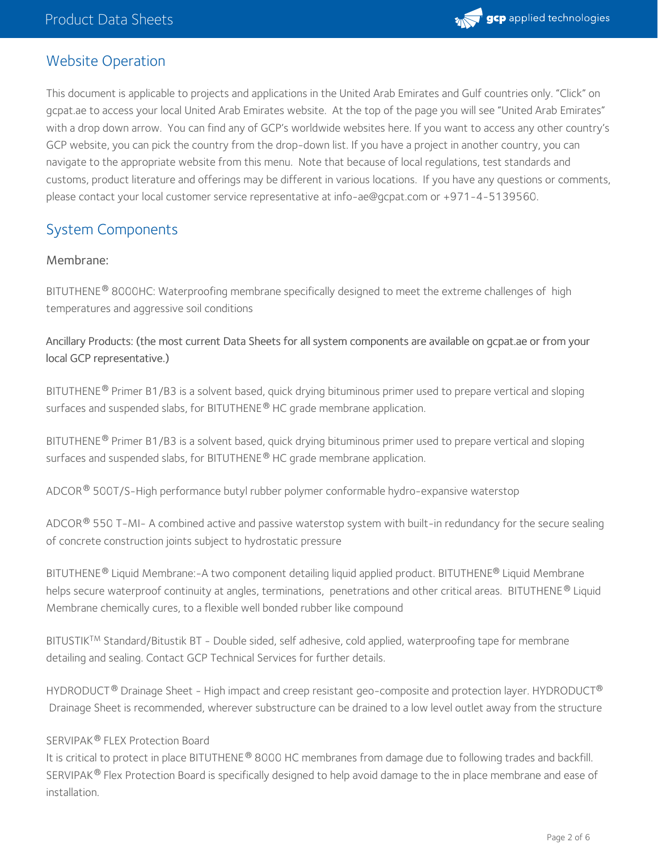

#### Website Operation

This document is applicable to projects and applications in the United Arab Emirates and Gulf countries only. "Click" on gcpat.ae to access your local United Arab Emirates website. At the top of the page you will see "United Arab Emirates" with a drop down arrow. You can find any of GCP's worldwide websites here. If you want to access any other country's GCP website, you can pick the country from the drop-down list. If you have a project in another country, you can navigate to the appropriate website from this menu. Note that because of local regulations, test standards and customs, product literature and offerings may be different in various locations. If you have any questions or comments, please contact your local customer service representative at info-ae@gcpat.com or +971-4-5139560.

## System Components

#### Membrane:

BITUTHENE® 8000HC: Waterproofing membrane specifically designed to meet the extreme challenges of  $\,$ high $\,$ temperatures and aggressive soil conditions

#### Ancillary Products: (the most current Data Sheets for all system components are available on gcpat.ae or from your local GCP representative.)

BITUTHENE® Primer B1/B3 is a solvent based, quick drying bituminous primer used to prepare vertical and sloping surfaces and suspended slabs, for BITUTHENE  $^{\circledR}$  HC grade membrane application.

BITUTHENE® Primer B1/B3 is a solvent based, quick drying bituminous primer used to prepare vertical and sloping surfaces and suspended slabs, for BITUTHENE  $^{\circledR}$  HC grade membrane application.

ADCOR  $^\circledR$  500T/S-High performance butyl rubber polymer conformable hydro-expansive waterstop

ADCOR  $^\circ$  550 T-MI- A combined active and passive waterstop system with built-in redundancy for the secure sealing of concrete construction joints subject to hydrostatic pressure

BITUTHENE® Liquid Membrane:-A two component detailing liquid applied product. BITUTHENE® Liquid Membrane helps secure waterproof continuity at angles, terminations, penetrations and other critical areas. BITUTHENE® Liquid Membrane chemically cures, to a flexible well bonded rubber like compound

BITUSTIK<sup>TM</sup> Standard/Bitustik BT - Double sided, self adhesive, cold applied, waterproofing tape for membrane detailing and sealing. Contact GCP Technical Services for further details.

<code>HYDRODUCT®</code> Drainage Sheet - High impact and creep resistant geo-composite and protection layer. <code>HYDRODUCT®</code> Drainage Sheet is recommended, wherever substructure can be drained to a low level outlet away from the structure

#### SERVIPAK® FLEX Protection Board

It is critical to protect in place BITUTHENE® 8000 HC membranes from damage due to following trades and backfill. SERVIPAK $^\circledR$  Flex Protection Board is specifically designed to help avoid damage to the in place membrane and ease of installation.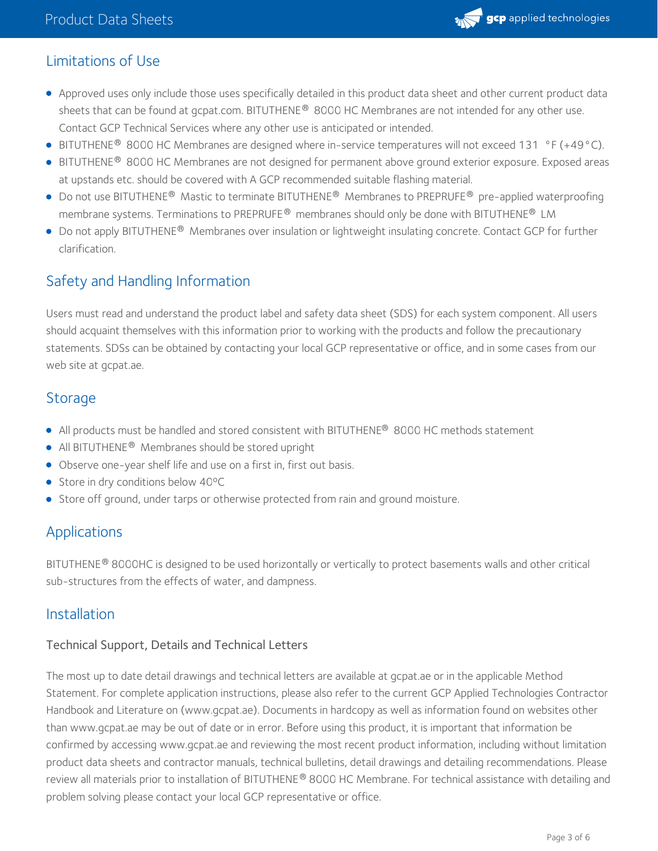

## Limitations of Use

- Approved uses only include those uses specifically detailed in this product data sheet and other current product data sheets that can be found at gcpat.com. BITUTHENE® 8000 HC Membranes are not intended for any other use. Contact GCP Technical Services where any other use is anticipated or intended.
- BITUTHENE<sup>®</sup> 8000 HC Membranes are designed where in-service temperatures will not exceed 131 °F (+49 °C).
- BITUTHENE® 8000 HC Membranes are not designed for permanent above ground exterior exposure. Exposed areas at upstands etc. should be covered with A GCP recommended suitable flashing material.
- Do not use BITUTHENE® Mastic to terminate BITUTHENE® Membranes to PREPRUFE® pre-applied waterproofing membrane systems. Terminations to PREPRUFE® membranes should only be done with BITUTHENE® LM
- Do not apply BITUTHENE® Membranes over insulation or lightweight insulating concrete. Contact GCP for further clarification.

## Safety and Handling Information

Users must read and understand the product label and safety data sheet (SDS) for each system component. All users should acquaint themselves with this information prior to working with the products and follow the precautionary statements. SDSs can be obtained by contacting your local GCP representative or office, and in some cases from our web site at gcpat.ae.

#### **Storage**

- All products must be handled and stored consistent with BITUTHENE® 8000 HC methods statement
- All BITUTHENE<sup>®</sup> Membranes should be stored upright
- Observe one-year shelf life and use on a first in, first out basis.
- Store in dry conditions below 40°C
- **Store off ground, under tarps or otherwise protected from rain and ground moisture.**

## Applications

BITUTHENE® 8000HC is designed to be used horizontally or vertically to protect basements walls and other critical sub-structures from the effects of water, and dampness.

#### Installation

#### Technical Support, Details and Technical Letters

The most up to date detail drawings and technical letters are available at gcpat.ae or in the applicable Method Statement. For complete application instructions, please also refer to the current GCP Applied Technologies Contractor Handbook and Literature on (www.gcpat.ae). Documents in hardcopy as well as information found on websites other than www.gcpat.ae may be out of date or in error. Before using this product, it is important that information be confirmed by accessing www.gcpat.ae and reviewing the most recent product information, including without limitation product data sheets and contractor manuals, technical bulletins, detail drawings and detailing recommendations. Please review all materials prior to installation of BITUTHENE® 8000 HC Membrane. For technical assistance with detailing and problem solving please contact your local GCP representative or office.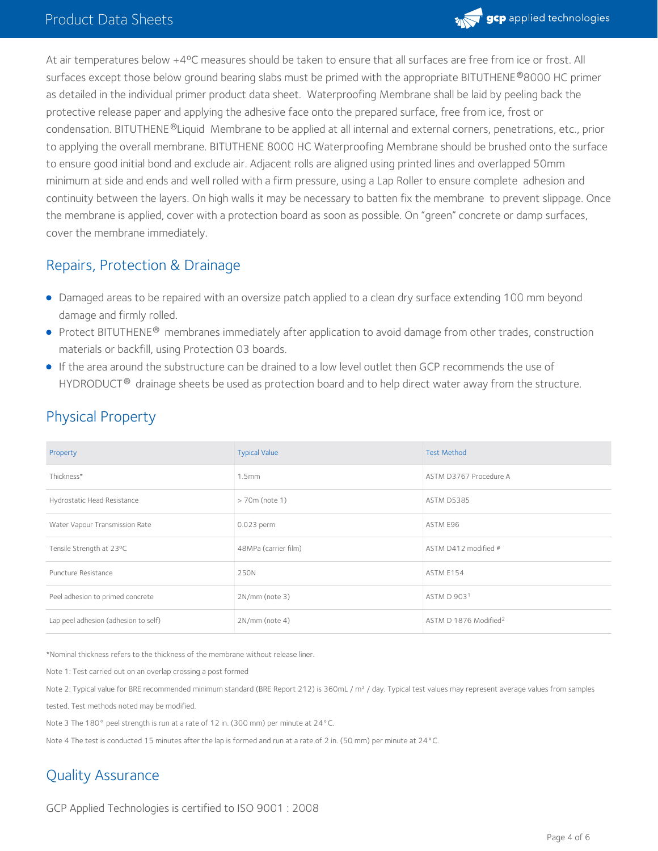

At air temperatures below +4ºC measures should be taken to ensure that all surfaces are free from ice or frost. All surfaces except those below ground bearing slabs must be primed with the appropriate BITUTHENE  $^\circ$ 8000 HC primer as detailed in the individual primer product data sheet. Waterproofing Membrane shall be laid by peeling back the protective release paper and applying the adhesive face onto the prepared surface, free from ice, frost or condensation. BITUTHENE®Liquid Membrane to be applied at all internal and external corners, penetrations, etc., prior to applying the overall membrane. BITUTHENE 8000 HC Waterproofing Membrane should be brushed onto the surface to ensure good initial bond and exclude air. Adjacent rolls are aligned using printed lines and overlapped 50mm minimum at side and ends and well rolled with a firm pressure, using a Lap Roller to ensure complete adhesion and continuity between the layers. On high walls it may be necessary to batten fix the membrane to prevent slippage. Once the membrane is applied, cover with a protection board as soon as possible. On "green" concrete or damp surfaces, cover the membrane immediately.

#### Repairs, Protection & Drainage

- Damaged areas to be repaired with an oversize patch applied to a clean dry surface extending 100 mm beyond damage and firmly rolled.
- Protect BITUTHENE® membranes immediately after application to avoid damage from other trades, construction materials or backfill, using Protection 03 boards.
- If the area around the substructure can be drained to a low level outlet then GCP recommends the use of HYDRODUCT<sup>®</sup> drainage sheets be used as protection board and to help direct water away from the structure.

| Property                             | <b>Typical Value</b> | <b>Test Method</b>                |
|--------------------------------------|----------------------|-----------------------------------|
| Thickness*                           | 1.5 <sub>mm</sub>    | ASTM D3767 Procedure A            |
| Hydrostatic Head Resistance          | $> 70m$ (note 1)     | <b>ASTM D5385</b>                 |
| Water Vapour Transmission Rate       | 0.023 perm           | ASTM E96                          |
| Tensile Strength at 23°C             | 48MPa (carrier film) | ASTM D412 modified #              |
| Puncture Resistance                  | 250N                 | ASTM E154                         |
| Peel adhesion to primed concrete     | $2N/mm$ (note 3)     | ASTM D 9031                       |
| Lap peel adhesion (adhesion to self) | $2N/mm$ (note 4)     | ASTM D 1876 Modified <sup>2</sup> |

#### Physical Property

\*Nominal thickness refers to the thickness of the membrane without release liner.

Note 1: Test carried out on an overlap crossing a post formed

Note 2: Typical value for BRE recommended minimum standard (BRE Report 212) is 360mL / m<sup>2</sup> / day. Typical test values may represent average values from samples

tested. Test methods noted may be modified.

Note 3 The 180° peel strength is run at a rate of 12 in. (300 mm) per minute at 24°C.

Note 4 The test is conducted 15 minutes after the lap is formed and run at a rate of 2 in. (50 mm) per minute at 24°C.

## Quality Assurance

GCP Applied Technologies is certified to ISO 9001 : 2008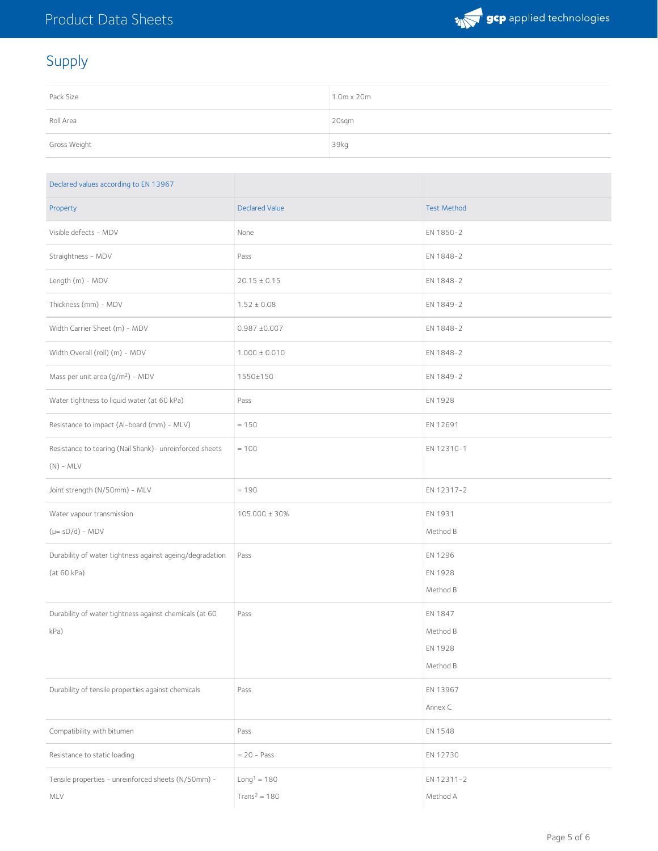

## Supply

| Pack Size    | 1.0m x 20m |
|--------------|------------|
| Roll Area    | 20sqm      |
| Gross Weight | 39kg       |

| Declared values according to EN 13967                                   |                                 |                                            |
|-------------------------------------------------------------------------|---------------------------------|--------------------------------------------|
| Property                                                                | Declared Value                  | <b>Test Method</b>                         |
| Visible defects - MDV                                                   | None                            | EN 1850-2                                  |
| Straightness - MDV                                                      | Pass                            | EN 1848-2                                  |
| Length (m) - MDV                                                        | $20.15 \pm 0.15$                | EN 1848-2                                  |
| Thickness (mm) - MDV                                                    | $1.52 \pm 0.08$                 | EN 1849-2                                  |
| Width Carrier Sheet (m) - MDV                                           | $0.987 \pm 0.007$               | EN 1848-2                                  |
| Width Overall (roll) (m) - MDV                                          | $1.000 \pm 0.010$               | EN 1848-2                                  |
| Mass per unit area (g/m <sup>2</sup> ) - MDV                            | 1550±150                        | EN 1849-2                                  |
| Water tightness to liquid water (at 60 kPa)                             | Pass                            | EN 1928                                    |
| Resistance to impact (Al-board (mm) - MLV)                              | $= 150$                         | EN 12691                                   |
| Resistance to tearing (Nail Shank)- unreinforced sheets<br>$(N)$ - MLV  | $= 100$                         | EN 12310-1                                 |
| Joint strength (N/50mm) - MLV                                           | $= 190$                         | EN 12317-2                                 |
| Water vapour transmission<br>$(\mu = sD/d) - MDV$                       | 105.000 ± 30%                   | EN 1931<br>Method B                        |
| Durability of water tightness against ageing/degradation<br>(at 60 kPa) | Pass                            | EN 1296<br>EN 1928<br>Method B             |
| Durability of water tightness against chemicals (at 60<br>kPa)          | Pass                            | EN 1847<br>Method B<br>EN 1928<br>Method B |
| Durability of tensile properties against chemicals                      | Pass                            | EN 13967<br>Annex C                        |
| Compatibility with bitumen                                              | Pass                            | EN 1548                                    |
| Resistance to static loading                                            | $= 20 - Pass$                   | EN 12730                                   |
| Tensile properties - unreinforced sheets (N/50mm) -<br>MLV              | $Long1 = 180$<br>$Trans2 = 180$ | EN 12311-2<br>Method A                     |